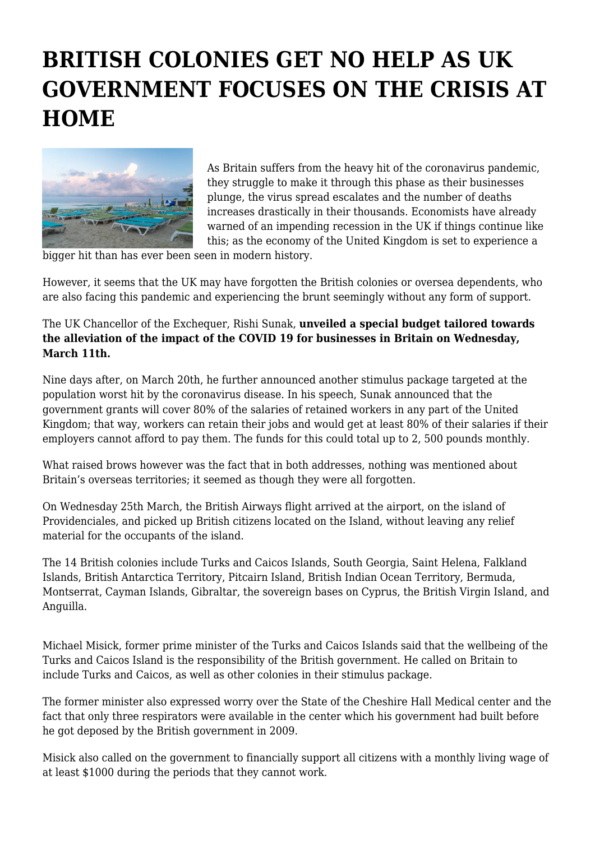## **BRITISH COLONIES GET NO HELP AS UK GOVERNMENT FOCUSES ON THE CRISIS AT HOME**



As Britain suffers from the heavy hit of the coronavirus pandemic, they struggle to make it through this phase as their businesses plunge, the virus spread escalates and the number of deaths increases drastically in their thousands. Economists have already warned of an impending recession in the UK if things continue like this; as the economy of the United Kingdom is set to experience a

bigger hit than has ever been seen in modern history.

However, it seems that the UK may have forgotten the British colonies or oversea dependents, who are also facing this pandemic and experiencing the brunt seemingly without any form of support.

The UK Chancellor of the Exchequer, Rishi Sunak, **unveiled a special budget tailored towards the alleviation of the impact of the COVID 19 for businesses in Britain on Wednesday, March 11th.**

Nine days after, on March 20th, he further announced another stimulus package targeted at the population worst hit by the coronavirus disease. In his speech, Sunak announced that the government grants will cover 80% of the salaries of retained workers in any part of the United Kingdom; that way, workers can retain their jobs and would get at least 80% of their salaries if their employers cannot afford to pay them. The funds for this could total up to 2, 500 pounds monthly.

What raised brows however was the fact that in both addresses, nothing was mentioned about Britain's overseas territories; it seemed as though they were all forgotten.

On Wednesday 25th March, the British Airways flight arrived at the airport, on the island of Providenciales, and picked up British citizens located on the Island, without leaving any relief material for the occupants of the island.

The 14 British colonies include Turks and Caicos Islands, South Georgia, Saint Helena, Falkland Islands, British Antarctica Territory, Pitcairn Island, British Indian Ocean Territory, Bermuda, Montserrat, Cayman Islands, Gibraltar, the sovereign bases on Cyprus, the British Virgin Island, and Anguilla.

Michael Misick, former prime minister of the Turks and Caicos Islands said that the wellbeing of the Turks and Caicos Island is the responsibility of the British government. He called on Britain to include Turks and Caicos, as well as other colonies in their stimulus package.

The former minister also expressed worry over the State of the Cheshire Hall Medical center and the fact that only three respirators were available in the center which his government had built before he got deposed by the British government in 2009.

Misick also called on the government to financially support all citizens with a monthly living wage of at least \$1000 during the periods that they cannot work.